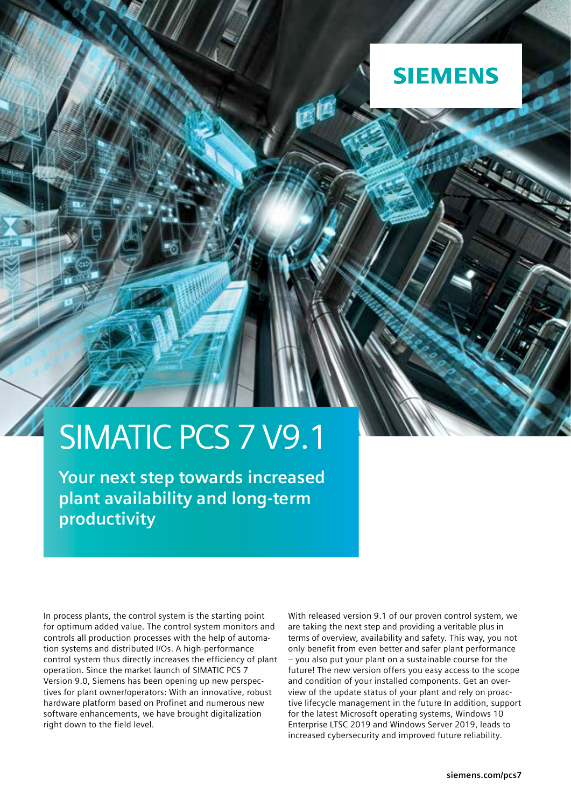

儢

### SIMATIC PCS 7 V9.1

**Your next step towards increased plant availability and long-term productivity** 

In process plants, the control system is the starting point for optimum added value. The control system monitors and controls all production processes with the help of automation systems and distributed I/Os. A high-performance control system thus directly increases the efficiency of plant operation. Since the market launch of SIMATIC PCS 7 Version 9.0, Siemens has been opening up new perspectives for plant owner/operators: With an innovative, robust hardware platform based on Profinet and numerous new software enhancements, we have brought digitalization right down to the field level.

With released version 9.1 of our proven control system, we are taking the next step and providing a veritable plus in terms of overview, availability and safety. This way, you not only benefit from even better and safer plant performance – you also put your plant on a sustainable course for the future! The new version offers you easy access to the scope and condition of your installed components. Get an overview of the update status of your plant and rely on proactive lifecycle management in the future In addition, support for the latest Microsoft operating systems, Windows 10 Enterprise LTSC 2019 and Windows Server 2019, leads to increased cybersecurity and improved future reliability.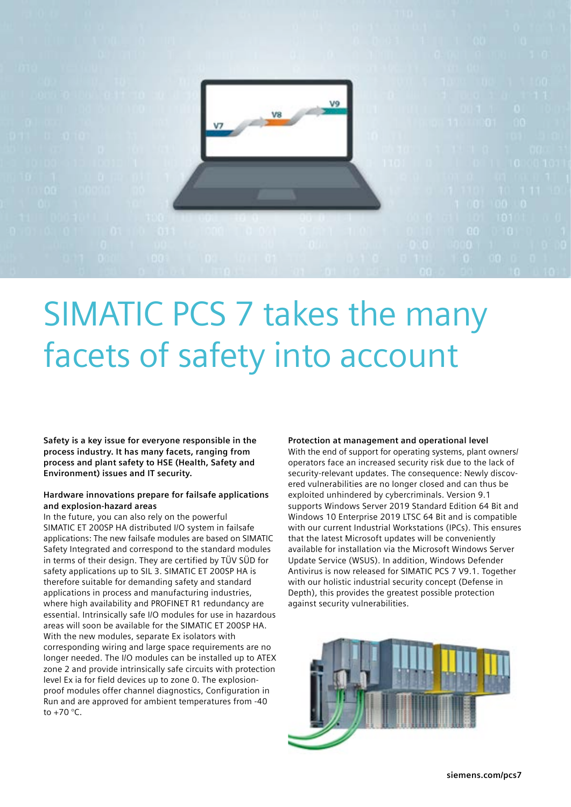

## SIMATIC PCS 7 takes the many facets of safety into account

**Safety is a key issue for everyone responsible in the process industry. It has many facets, ranging from process and plant safety to HSE (Health, Safety and Environment) issues and IT security.** 

### **Hardware innovations prepare for failsafe applications and explosion-hazard areas**

In the future, you can also rely on the powerful SIMATIC ET 200SP HA distributed I/O system in failsafe applications: The new failsafe modules are based on SIMATIC Safety Integrated and correspond to the standard modules in terms of their design. They are certified by TÜV SÜD for safety applications up to SIL 3. SIMATIC ET 200SP HA is therefore suitable for demanding safety and standard applications in process and manufacturing industries, where high availability and PROFINET R1 redundancy are essential. Intrinsically safe I/O modules for use in hazardous areas will soon be available for the SIMATIC ET 200SP HA. With the new modules, separate Ex isolators with corresponding wiring and large space requirements are no longer needed. The I/O modules can be installed up to ATEX zone 2 and provide intrinsically safe circuits with protection level Ex ia for field devices up to zone 0. The explosionproof modules offer channel diagnostics, Configuration in Run and are approved for ambient temperatures from -40 to  $+70$  °C.

#### **Protection at management and operational level**

With the end of support for operating systems, plant owners/ operators face an increased security risk due to the lack of security-relevant updates. The consequence: Newly discovered vulnerabilities are no longer closed and can thus be exploited unhindered by cybercriminals. Version 9.1 supports Windows Server 2019 Standard Edition 64 Bit and Windows 10 Enterprise 2019 LTSC 64 Bit and is compatible with our current Industrial Workstations (IPCs). This ensures that the latest Microsoft updates will be conveniently available for installation via the Microsoft Windows Server Update Service (WSUS). In addition, Windows Defender Antivirus is now released for SIMATIC PCS 7 V9.1. Together with our holistic industrial security concept (Defense in Depth), this provides the greatest possible protection against security vulnerabilities.

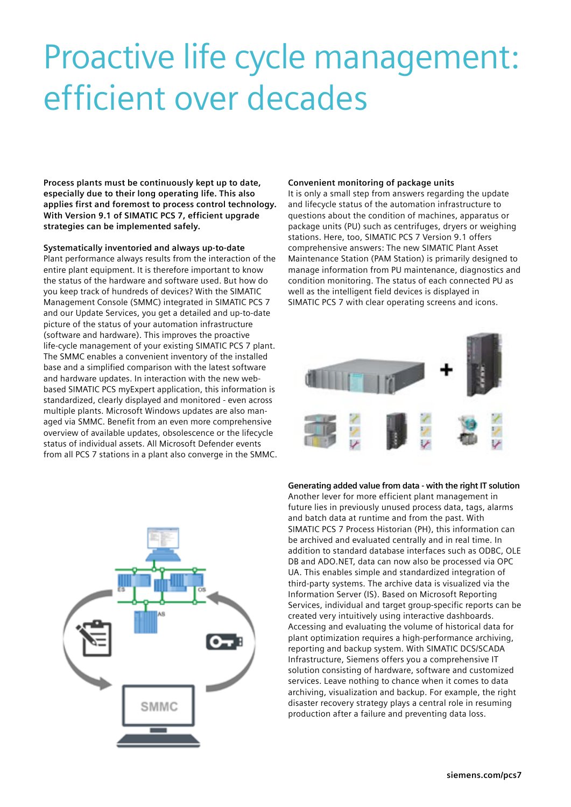# Proactive life cycle management: efficient over decades

**Process plants must be continuously kept up to date, especially due to their long operating life. This also applies first and foremost to process control technology. With Version 9.1 of SIMATIC PCS 7, efficient upgrade strategies can be implemented safely.** 

**Systematically inventoried and always up-to-date**  Plant performance always results from the interaction of the entire plant equipment. It is therefore important to know the status of the hardware and software used. But how do you keep track of hundreds of devices? With the SIMATIC Management Console (SMMC) integrated in SIMATIC PCS 7 and our Update Services, you get a detailed and up-to-date picture of the status of your automation infrastructure (software and hardware). This improves the proactive life-cycle management of your existing SIMATIC PCS 7 plant. The SMMC enables a convenient inventory of the installed base and a simplified comparison with the latest software and hardware updates. In interaction with the new webbased SIMATIC PCS myExpert application, this information is standardized, clearly displayed and monitored - even across multiple plants. Microsoft Windows updates are also managed via SMMC. Benefit from an even more comprehensive overview of available updates, obsolescence or the lifecycle status of individual assets. All Microsoft Defender events from all PCS 7 stations in a plant also converge in the SMMC.



#### **Convenient monitoring of package units**

It is only a small step from answers regarding the update and lifecycle status of the automation infrastructure to questions about the condition of machines, apparatus or package units (PU) such as centrifuges, dryers or weighing stations. Here, too, SIMATIC PCS 7 Version 9.1 offers comprehensive answers: The new SIMATIC Plant Asset Maintenance Station (PAM Station) is primarily designed to manage information from PU maintenance, diagnostics and condition monitoring. The status of each connected PU as well as the intelligent field devices is displayed in SIMATIC PCS 7 with clear operating screens and icons.



**Generating added value from data - with the right IT solution**

Another lever for more efficient plant management in future lies in previously unused process data, tags, alarms and batch data at runtime and from the past. With SIMATIC PCS 7 Process Historian (PH), this information can be archived and evaluated centrally and in real time. In addition to standard database interfaces such as ODBC, OLE DB and ADO.NET, data can now also be processed via OPC UA. This enables simple and standardized integration of third-party systems. The archive data is visualized via the Information Server (IS). Based on Microsoft Reporting Services, individual and target group-specific reports can be created very intuitively using interactive dashboards. Accessing and evaluating the volume of historical data for plant optimization requires a high-performance archiving, reporting and backup system. With SIMATIC DCS/SCADA Infrastructure, Siemens offers you a comprehensive IT solution consisting of hardware, software and customized services. Leave nothing to chance when it comes to data archiving, visualization and backup. For example, the right disaster recovery strategy plays a central role in resuming production after a failure and preventing data loss.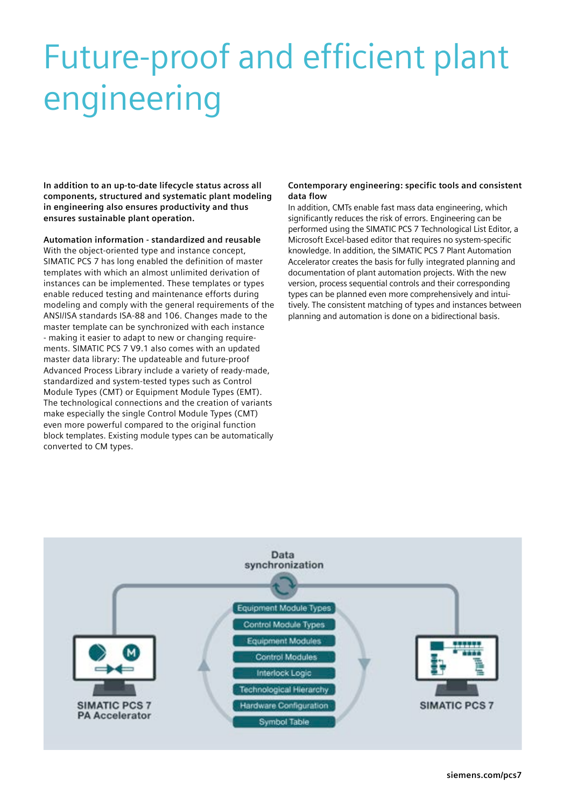# Future-proof and efficient plant engineering

**In addition to an up-to-date lifecycle status across all components, structured and systematic plant modeling in engineering also ensures productivity and thus ensures sustainable plant operation.** 

**Automation information - standardized and reusable** With the object-oriented type and instance concept, SIMATIC PCS 7 has long enabled the definition of master templates with which an almost unlimited derivation of instances can be implemented. These templates or types enable reduced testing and maintenance efforts during modeling and comply with the general requirements of the ANSI/ISA standards ISA-88 and 106. Changes made to the master template can be synchronized with each instance - making it easier to adapt to new or changing requirements. SIMATIC PCS 7 V9.1 also comes with an updated master data library: The updateable and future-proof Advanced Process Library include a variety of ready-made, standardized and system-tested types such as Control Module Types (CMT) or Equipment Module Types (EMT). The technological connections and the creation of variants make especially the single Control Module Types (CMT) even more powerful compared to the original function block templates. Existing module types can be automatically converted to CM types.

### **Contemporary engineering: specific tools and consistent data flow**

In addition, CMTs enable fast mass data engineering, which significantly reduces the risk of errors. Engineering can be performed using the SIMATIC PCS 7 Technological List Editor, a Microsoft Excel-based editor that requires no system-specific knowledge. In addition, the SIMATIC PCS 7 Plant Automation Accelerator creates the basis for fully integrated planning and documentation of plant automation projects. With the new version, process sequential controls and their corresponding types can be planned even more comprehensively and intuitively. The consistent matching of types and instances between planning and automation is done on a bidirectional basis.